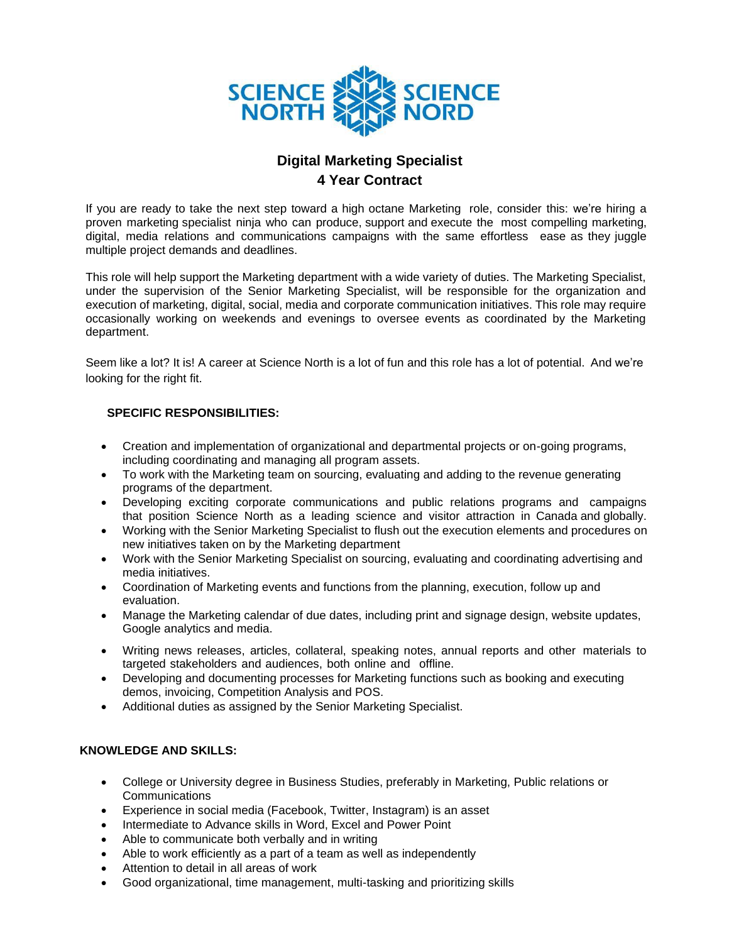

## **Digital Marketing Specialist 4 Year Contract**

If you are ready to take the next step toward a high octane Marketing role, consider this: we're hiring a proven marketing specialist ninja who can produce, support and execute the most compelling marketing, digital, media relations and communications campaigns with the same effortless ease as they juggle multiple project demands and deadlines.

This role will help support the Marketing department with a wide variety of duties. The Marketing Specialist, under the supervision of the Senior Marketing Specialist, will be responsible for the organization and execution of marketing, digital, social, media and corporate communication initiatives. This role may require occasionally working on weekends and evenings to oversee events as coordinated by the Marketing department.

Seem like a lot? It is! A career at Science North is a lot of fun and this role has a lot of potential. And we're looking for the right fit.

## **SPECIFIC RESPONSIBILITIES:**

- Creation and implementation of organizational and departmental projects or on-going programs, including coordinating and managing all program assets.
- To work with the Marketing team on sourcing, evaluating and adding to the revenue generating programs of the department.
- Developing exciting corporate communications and public relations programs and campaigns that position Science North as a leading science and visitor attraction in Canada and globally.
- Working with the Senior Marketing Specialist to flush out the execution elements and procedures on new initiatives taken on by the Marketing department
- Work with the Senior Marketing Specialist on sourcing, evaluating and coordinating advertising and media initiatives.
- Coordination of Marketing events and functions from the planning, execution, follow up and evaluation.
- Manage the Marketing calendar of due dates, including print and signage design, website updates, Google analytics and media.
- Writing news releases, articles, collateral, speaking notes, annual reports and other materials to targeted stakeholders and audiences, both online and offline.
- Developing and documenting processes for Marketing functions such as booking and executing demos, invoicing, Competition Analysis and POS.
- Additional duties as assigned by the Senior Marketing Specialist.

## **KNOWLEDGE AND SKILLS:**

- College or University degree in Business Studies, preferably in Marketing, Public relations or Communications
- Experience in social media (Facebook, Twitter, Instagram) is an asset
- Intermediate to Advance skills in Word, Excel and Power Point
- Able to communicate both verbally and in writing
- Able to work efficiently as a part of a team as well as independently
- Attention to detail in all areas of work
- Good organizational, time management, multi-tasking and prioritizing skills